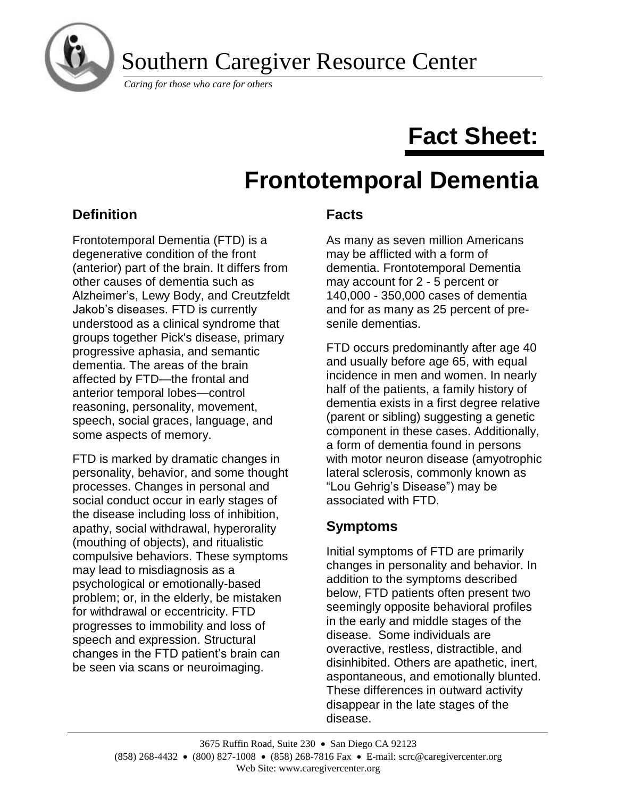

Southern Caregiver Resource Center

*Caring for those who care for others*

# **Fact Sheet:**

# **Frontotemporal Dementia**

# **Definition**

Frontotemporal Dementia (FTD) is a degenerative condition of the front (anterior) part of the brain. It differs from other causes of dementia such as Alzheimer's, Lewy Body, and Creutzfeldt Jakob's diseases. FTD is currently understood as a clinical syndrome that groups together Pick's disease, primary progressive aphasia, and semantic dementia. The areas of the brain affected by FTD—the frontal and anterior temporal lobes—control reasoning, personality, movement, speech, social graces, language, and some aspects of memory.

FTD is marked by dramatic changes in personality, behavior, and some thought processes. Changes in personal and social conduct occur in early stages of the disease including loss of inhibition, apathy, social withdrawal, hyperorality (mouthing of objects), and ritualistic compulsive behaviors. These symptoms may lead to misdiagnosis as a psychological or emotionally-based problem; or, in the elderly, be mistaken for withdrawal or eccentricity. FTD progresses to immobility and loss of speech and expression. Structural changes in the FTD patient's brain can be seen via scans or neuroimaging.

## **Facts**

As many as seven million Americans may be afflicted with a form of dementia. Frontotemporal Dementia may account for 2 - 5 percent or 140,000 - 350,000 cases of dementia and for as many as 25 percent of presenile dementias.

FTD occurs predominantly after age 40 and usually before age 65, with equal incidence in men and women. In nearly half of the patients, a family history of dementia exists in a first degree relative (parent or sibling) suggesting a genetic component in these cases. Additionally, a form of dementia found in persons with motor neuron disease (amyotrophic lateral sclerosis, commonly known as "Lou Gehrig's Disease") may be associated with FTD.

## **Symptoms**

Initial symptoms of FTD are primarily changes in personality and behavior. In addition to the symptoms described below, FTD patients often present two seemingly opposite behavioral profiles in the early and middle stages of the disease. Some individuals are overactive, restless, distractible, and disinhibited. Others are apathetic, inert, aspontaneous, and emotionally blunted. These differences in outward activity disappear in the late stages of the disease.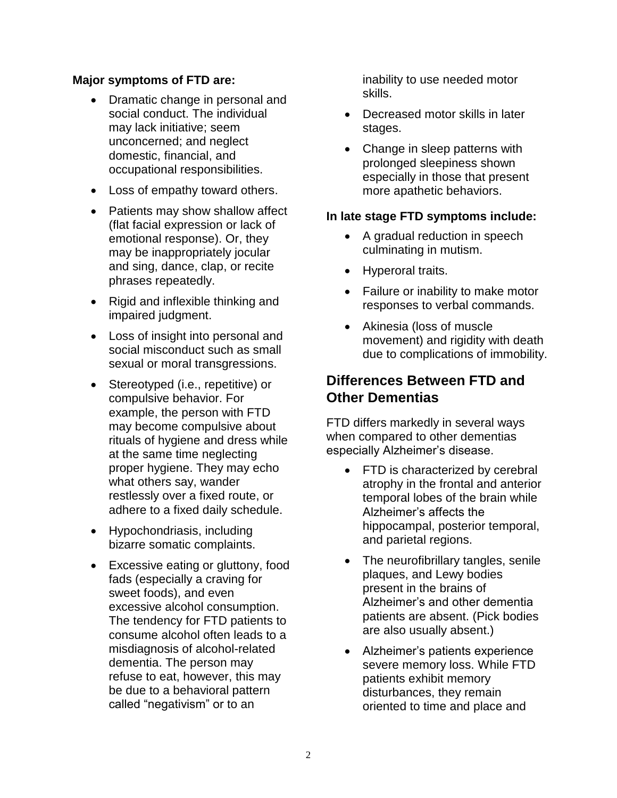#### **Major symptoms of FTD are:**

- Dramatic change in personal and social conduct. The individual may lack initiative; seem unconcerned; and neglect domestic, financial, and occupational responsibilities.
- Loss of empathy toward others.
- Patients may show shallow affect (flat facial expression or lack of emotional response). Or, they may be inappropriately jocular and sing, dance, clap, or recite phrases repeatedly.
- Rigid and inflexible thinking and impaired judgment.
- Loss of insight into personal and social misconduct such as small sexual or moral transgressions.
- Stereotyped (i.e., repetitive) or compulsive behavior. For example, the person with FTD may become compulsive about rituals of hygiene and dress while at the same time neglecting proper hygiene. They may echo what others say, wander restlessly over a fixed route, or adhere to a fixed daily schedule.
- Hypochondriasis, including bizarre somatic complaints.
- Excessive eating or gluttony, food fads (especially a craving for sweet foods), and even excessive alcohol consumption. The tendency for FTD patients to consume alcohol often leads to a misdiagnosis of alcohol-related dementia. The person may refuse to eat, however, this may be due to a behavioral pattern called "negativism" or to an

inability to use needed motor skills.

- Decreased motor skills in later stages.
- Change in sleep patterns with prolonged sleepiness shown especially in those that present more apathetic behaviors.

### **In late stage FTD symptoms include:**

- A gradual reduction in speech culminating in mutism.
- Hyperoral traits.
- Failure or inability to make motor responses to verbal commands.
- Akinesia (loss of muscle movement) and rigidity with death due to complications of immobility.

## **Differences Between FTD and Other Dementias**

FTD differs markedly in several ways when compared to other dementias especially Alzheimer's disease.

- FTD is characterized by cerebral atrophy in the frontal and anterior temporal lobes of the brain while Alzheimer's affects the hippocampal, posterior temporal, and parietal regions.
- The neurofibrillary tangles, senile plaques, and Lewy bodies present in the brains of Alzheimer's and other dementia patients are absent. (Pick bodies are also usually absent.)
- Alzheimer's patients experience severe memory loss. While FTD patients exhibit memory disturbances, they remain oriented to time and place and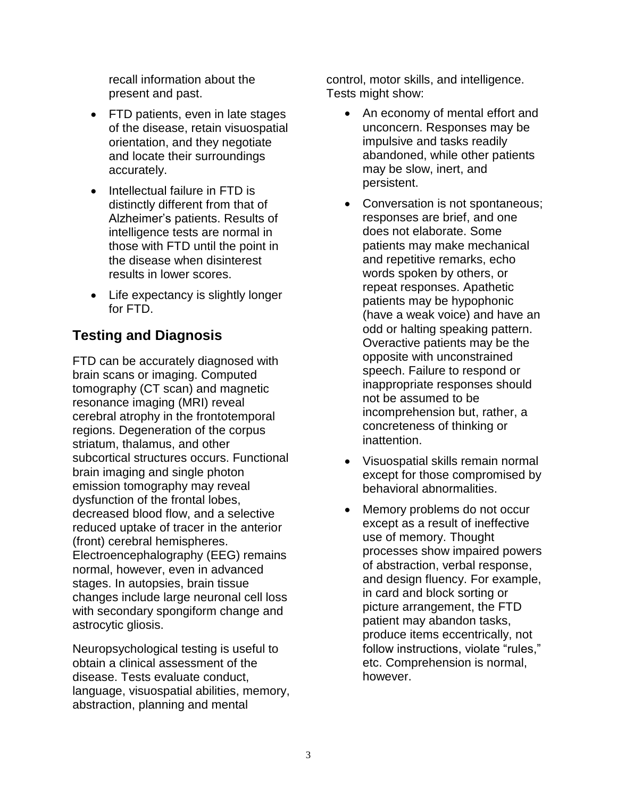recall information about the present and past.

- FTD patients, even in late stages of the disease, retain visuospatial orientation, and they negotiate and locate their surroundings accurately.
- Intellectual failure in FTD is distinctly different from that of Alzheimer's patients. Results of intelligence tests are normal in those with FTD until the point in the disease when disinterest results in lower scores.
- Life expectancy is slightly longer for FTD.

# **Testing and Diagnosis**

FTD can be accurately diagnosed with brain scans or imaging. Computed tomography (CT scan) and magnetic resonance imaging (MRI) reveal cerebral atrophy in the frontotemporal regions. Degeneration of the corpus striatum, thalamus, and other subcortical structures occurs. Functional brain imaging and single photon emission tomography may reveal dysfunction of the frontal lobes, decreased blood flow, and a selective reduced uptake of tracer in the anterior (front) cerebral hemispheres. Electroencephalography (EEG) remains normal, however, even in advanced stages. In autopsies, brain tissue changes include large neuronal cell loss with secondary spongiform change and astrocytic gliosis.

Neuropsychological testing is useful to obtain a clinical assessment of the disease. Tests evaluate conduct, language, visuospatial abilities, memory, abstraction, planning and mental

control, motor skills, and intelligence. Tests might show:

- An economy of mental effort and unconcern. Responses may be impulsive and tasks readily abandoned, while other patients may be slow, inert, and persistent.
- Conversation is not spontaneous; responses are brief, and one does not elaborate. Some patients may make mechanical and repetitive remarks, echo words spoken by others, or repeat responses. Apathetic patients may be hypophonic (have a weak voice) and have an odd or halting speaking pattern. Overactive patients may be the opposite with unconstrained speech. Failure to respond or inappropriate responses should not be assumed to be incomprehension but, rather, a concreteness of thinking or inattention.
- Visuospatial skills remain normal except for those compromised by behavioral abnormalities.
- Memory problems do not occur except as a result of ineffective use of memory. Thought processes show impaired powers of abstraction, verbal response, and design fluency. For example, in card and block sorting or picture arrangement, the FTD patient may abandon tasks, produce items eccentrically, not follow instructions, violate "rules," etc. Comprehension is normal, however.